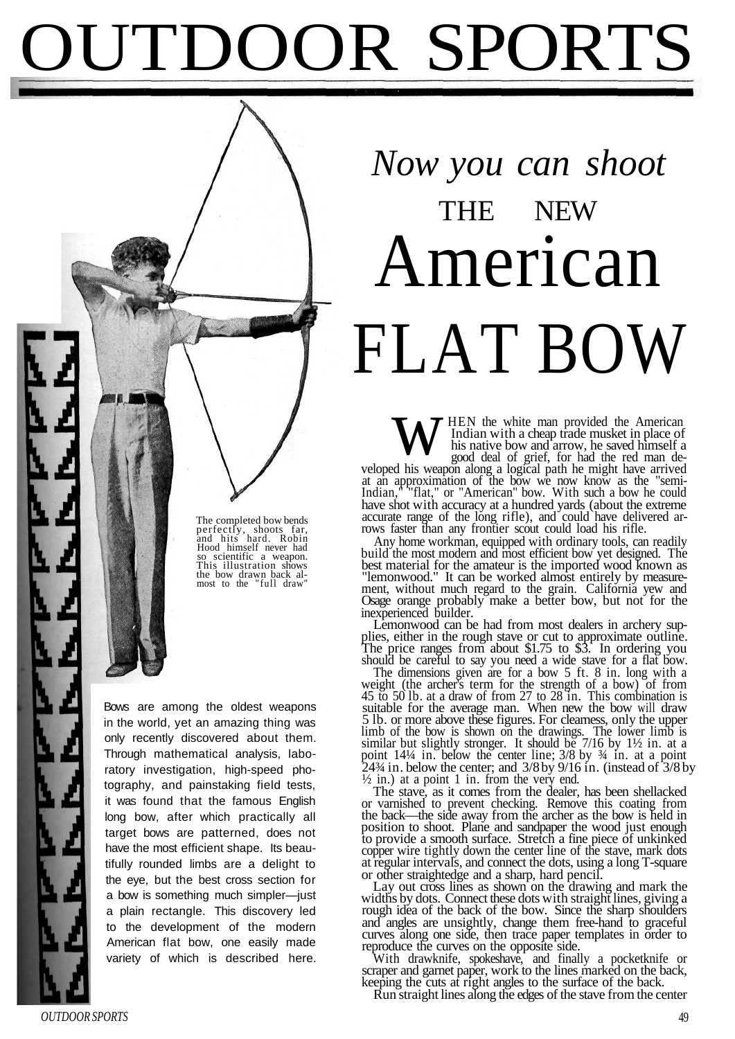## OUTDOOR SPORTS

## *Now you can shoot* THE NEW American FLAT BOW

The completed bow bends<br>
perfectly, shoots far,<br>
and hits hard. Robin<br>
Hood himself never had<br>
so scientific a weapon.<br>
This illustration shows<br>
the bow drawn back al-<br>
most to the "full draw"

Bows are among the oldest weapons in the world, yet an amazing thing was only recently discovered about them. Through mathematical analysis, laboratory investigation, high-speed photography, and painstaking field tests, it was found that the famous English long bow, after which practically all target bows are patterned, does not have the most efficient shape. Its beautifully rounded limbs are a delight to the eye, but the best cross section for a bow is something much simpler—just a plain rectangle. This discovery led to the development of the modern American flat bow, one easily made variety of which is described here.

HEN the white man provided the American Indian with a cheap trade musket in place of his native bow and arrow, he saved himself a good deal of grief, for had the red man de-**VELO** HEN the white man provided the American Indian with a cheap trade musket in place of his native bow and arrow, he saved himself a good deal of grief, for had the red man developed his weapon along a logical path he

at an approximation of the bow we now know as the "semi-Indian," "flat," or "American" bow. With such a bow he could have shot with accuracy at a hundred yards (about the extreme accurate range of the long rifle), and could have delivered arrows faster than any frontier scout could load his rifle.

Any home workman, equipped with ordinary tools, can readily build the most modern and most efficient bow yet designed. The best material for the amateur is the imported wood known as "lemonwood." It can be worked almost entirely by measurement, without much regard to the grain. California yew and Osage orange probably make a better bow, but not for the inexperienced builder.

Lemonwood can be had from most dealers in archery supplies, either in the rough stave or cut to approximate outline. The price ranges from about \$1.75 to \$3. In ordering you should be careful to say you need a wide stave for a flat bow.

The dimensions given are for a bow 5 ft. 8 in. long with a weight (the archer's term for the strength of a bow) of from 45 to 50 lb. at a draw of from 27 to 28 in. This combination is suitable for the average man. When new the bow will draw 5 lb. or more above these figures. For clearness, only the upper limb of the bow is shown on the drawings. The lower limb is similar but slightly stronger. It should be 7/16 by 1½ in. at a point 14¼ in. below the center line; 3/8 by ¾ in. at a point 24¾ in. below the center; and 3/8 by 9/16 in. (instead of 3/8 by  $\frac{1}{2}$  in.) at a point 1 in. from the very end.

The stave, as it comes from the dealer, has been shellacked or varnished to prevent checking. Remove this coating from the back—the side away from the archer as the bow is held in position to shoot. Plane and sandpaper the wood just enough to provide a smooth surface. Stretch a fine piece of unkinked copper wire tightly down the center line of the stave, mark dots at regular intervals, and connect the dots, using a long T-square or other straightedge and a sharp, hard pencil.

Lay out cross lines as shown on the drawing and mark the widths by dots. Connect these dots with straight lines, giving a rough idea of the back of the bow. Since the sharp shoulders and angles are unsightly, change them free-hand to graceful curves along one side, then trace paper templates in order to reproduce the curves on the opposite side.

With drawknife, spokeshave, and finally a pocketknife or scraper and garnet paper, work to the lines marked on the back, keeping the cuts at right angles to the surface of the back.

Run straight lines along the edges of the stave from the center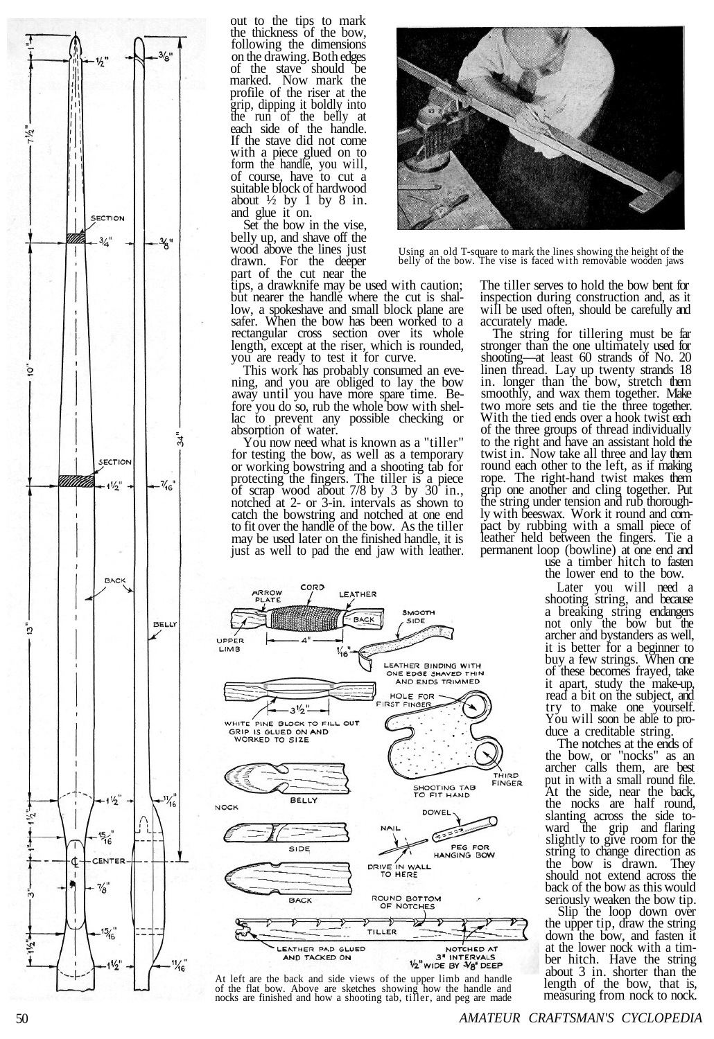

out to the tips to mark th e thicknes s o f th e bow , followin g th e dimension s o n th e drawing . Bot h edges o f th e stav e shoul d b e marked . No w mark th e profil e o f th e rise r at th e grip , dippin g i t boldl y int o th e ru n o f th e bell y at each side o f th e handle . I f th e stav e di d no t come with a piece glued on to for m th e handle , yo u will , o f course , have t o cu t a suitabl e bloc k o f hardwoo d about  $\frac{1}{2}$  by 1 by 8 in. and glue it on.

Set th e bo w i n th e vise , bell y up , and shave off th e woo d above th e line s jus t drawn . Fo r th e deeper par t o f th e cu t near th e

tips , a drawknife may b e used wit h caution ; but nearer the handle where the cut is shallow , a spokeshave and smal l bloc k plane are safer . Whe n th e bo w has been worke d to a rectangular cross section over its whole length, except at the riser, which is rounded, you are ready to test it for curve.

Thi s work has probabl y consumed an evening, and you are obliged to lay the bow away until you have more spare time. Before you do so, rub the whole bow with shellac to prevent any possible checking or absorption of water.

You now need what is known as a "tiller " fo r testin g th e bow , a s wel l a s a temporary o r workin g bowstrin g and a shootin g tab fo r protecting the fingers. The tiller is a piece of scrap wood about  $7/8$  by  $3$  by  $30$  in. notched at 2- or 3-in. intervals as shown to catc h th e bowstrin g an d notche d at one end to fit over the handle of the bow. As the tiller may b e used late r o n th e finishe d handle , i t i s jus t a s wel l t o pad th e end ja w wit h leather.



At left are the back and side views of the upper limb and handle of the flat bow. Above are sketches showing how the handle and nocks are finished and how a shooting tab, tiller, and peg are made



Using an old T-square to mark the lines showing the height of the belly of the bow. The vise is faced with removable wooden jaws

Th e tille r serve s to hol d th e bow bent for inspectio n durin g constructio n and , a s it wil l b e used often , shoul d b e carefull y and accuratel y made .

The string for tillering must be far stronger tha n th e one ultimatel y used for shooting—at leas t 60 strand s of No . 20 linen thread. Lay up twenty strands 18 in . longer tha n th e bow , stretc h them smoothly , an d wax the m together . Make tw o more sets an d ti e th e thre e together . With the tied ends over a hook twist each o f th e thre e group s o f threa d individually to the right and have an assistant hold the twist in. Now take all three and lay them round each other to the left, as if making rope . Th e right-han d twis t make s them gri p one another and clin g together . Put th e strin g under tensio n an d ru b thoroughly with beeswax. Work it round and compact by rubbing with a small piece of leather hel d between th e fingers . Ti e a permanent loo p (bowline ) at one end and

us e a timbe r hitc h t o fasten th e lower end to th e bow .

Late r yo u wil l need a shootin g string , an d because a breakin g strin g endangers no t onl y th e bo w bu t the archer an d bystander s a s well , i t i s bette r fo r a beginner t o bu y a few strings . When one of thes e become s frayed , take i t apart , stud y th e make-up , read a bi t o n th e subject , and tr y t o make one yourself. You will soon be able to produce a creditabl e string .

The notches at the ends of th e bow , or "nocks " a s an archer call s them , are best pu t i n wit h a smal l roun d file. At the side, near the back, th e nock s are hal f round , slantin g acros s th e side to war d th e gri p and flarin g slightly to give room for the strin g to change directio n a s th e bo w i s drawn . They shoul d no t exten d acros s the back o f th e bo w a s thi s woul d seriousl y weaken th e bo w tip .

Sli p th e loo p dow n over th e upper tip , draw th e strin g down th e bow , an d fasten i t a t th e lower noc k wit h a tim ber hitch . Hav e th e strin g about 3 in . shorter tha n the length of the bow, that is, measuring from nock to nock.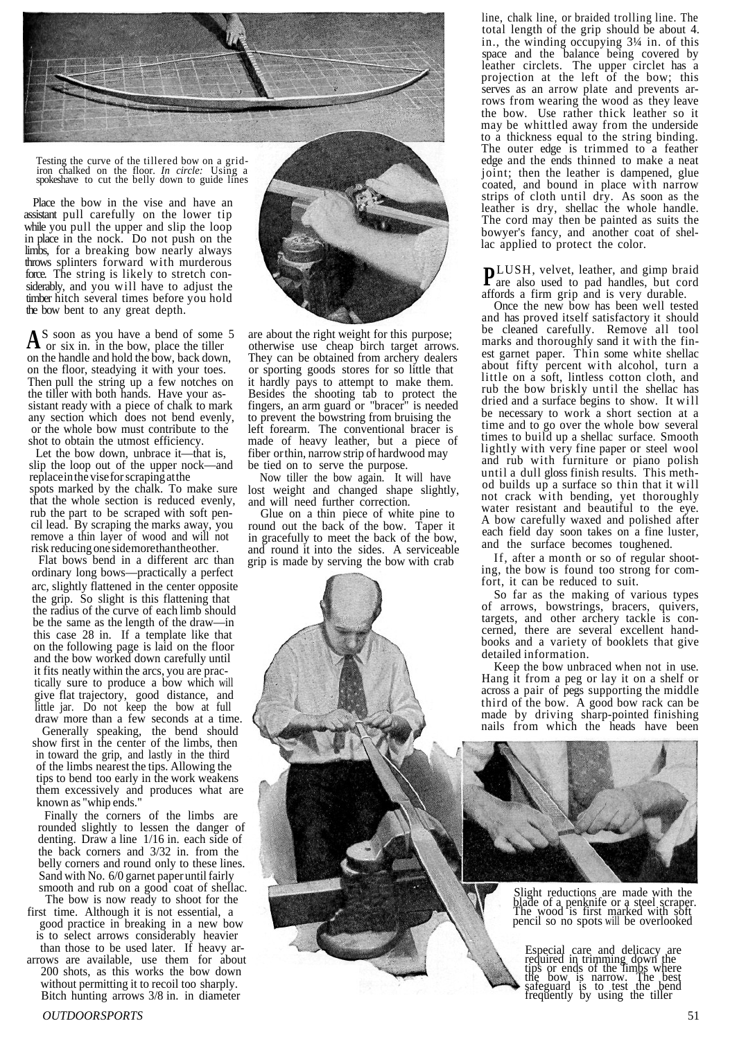

Testing the curve of the tillered bow on a grid-iron chalked on the floor. *In circle:* Using a spokeshave to cut the belly down to guide lines

Place the bow in the vise and have an assistant pull carefully on the lower tip while you pull the upper and slip the loop in place in the nock. Do not push on the limbs, for a breaking bow nearly always throws splinters forward with murderous force. The string is likely to stretch considerably, and you will have to adjust the timber hitch several times before you hold the bow bent to any great depth.

S soon as you have a bend of some 5 A s soon as you have a bend or some<br>or six in. in the bow, place the tiller on the handle and hold the bow, back down, on the floor, steadying it with your toes. Then pull the string up a few notches on the tiller with both hands. Have your assistant ready with a piece of chalk to mark any section which does not bend evenly, or the whole bow must contribute to the shot to obtain the utmost efficiency.

Let the bow down, unbrace it—that is, slip the loop out of the upper nock—and replace in the vise for scraping at the spots marked by the chalk. To make sure that the whole section is reduced evenly, rub the part to be scraped with soft pencil lead. By scraping the marks away, you remove a thin layer of wood and will not risk reducing one side more than the other.

Flat bows bend in a different arc than ordinary long bows—practically a perfect arc, slightly flattened in the center opposite the grip. So slight is this flattening that the radius of the curve of each limb should be the same as the length of the draw—in this case 28 in. If a template like that on the following page is laid on the floor and the bow worked down carefully until it fits neatly within the arcs, you are practically sure to produce a bow which will give flat trajectory, good distance, and little jar. Do not keep the bow at full draw more than a few seconds at a time.

Generally speaking, the bend should show first in the center of the limbs, then in toward the grip, and lastly in the third of the limbs nearest the tips. Allowing the tips to bend too early in the work weakens them excessively and produces what are known as "whip ends.

Finally the corners of the limbs are rounded slightly to lessen the danger of denting. Draw a line 1/16 in. each side of the back corners and 3/32 in. from the belly corners and round only to these lines. Sand with No. 6/0 garnet paper until fairly smooth and rub on a good coat of shellac.

The bow is now ready to shoot for the first time. Although it is not essential, a

good practice in breaking in a new bow is to select arrows considerably heavier than those to be used later. If heavy ar-

 arrows are available, use them for about 200 shots, as this works the bow down without permitting it to recoil too sharply. Bitch hunting arrows 3/8 in. in diameter



are about the right weight for this purpose; otherwise use cheap birch target arrows. They can be obtained from archery dealers or sporting goods stores for so little that it hardly pays to attempt to make them. Besides the shooting tab to protect the fingers, an arm guard or "bracer" is needed to prevent the bowstring from bruising the left forearm. The conventional bracer is made of heavy leather, but a piece of fiber or thin, narrow strip of hardwood may be tied on to serve the purpose.

Now tiller the bow again. It will have lost weight and changed shape slightly, and will need further correction.

Glue on a thin piece of white pine to round out the back of the bow. Taper it in gracefully to meet the back of the bow, and round it into the sides. A serviceable grip is made by serving the bow with crab

line, chalk line, or braided trolling line. The total length of the grip should be about 4. in., the winding occupying 3¼ in. of this space and the balance being covered by leather circlets. The upper circlet has a projection at the left of the bow; this serves as an arrow plate and prevents arrows from wearing the wood as they leave the bow. Use rather thick leather so it may be whittled away from the underside to a thickness equal to the string binding. The outer edge is trimmed to a feather edge and the ends thinned to make a neat joint; then the leather is dampened, glue coated, and bound in place with narrow strips of cloth until dry. As soon as the leather is dry, shellac the whole handle. The cord may then be painted as suits the bowyer's fancy, and another coat of shellac applied to protect the color.

LUSH, velvet, leather, and gimp braid **P**LOSII, vervet, leadier, and glinp brand<br>are also used to pad handles, but cord affords a firm grip and is very durable.

Once the new bow has been well tested and has proved itself satisfactory it should be cleaned carefully. Remove all tool marks and thoroughly sand it with the finest garnet paper. Thin some white shellac about fifty percent with alcohol, turn a little on a soft, lintless cotton cloth, and rub the bow briskly until the shellac has dried and a surface begins to show. It will be necessary to work a short section at a time and to go over the whole bow several times to build up a shellac surface. Smooth lightly with very fine paper or steel wool and rub with furniture or piano polish until a dull gloss finish results. This method builds up a surface so thin that it will not crack with bending, yet thoroughly water resistant and beautiful to the eye. A bow carefully waxed and polished after each field day soon takes on a fine luster, and the surface becomes toughened.

If, after a month or so of regular shooting, the bow is found too strong for comfort, it can be reduced to suit.

So far as the making of various types of arrows, bowstrings, bracers, quivers, targets, and other archery tackle is concerned, there are several excellent handbooks and a variety of booklets that give detailed information.

Keep the bow unbraced when not in use. Hang it from a peg or lay it on a shelf or across a pair of pegs supporting the middle third of the bow. A good bow rack can be made by driving sharp-pointed finishing nails from which the heads have been



Slight reductions are made with the blade of a penknife or a steel scraper. The wood is first marked with soft pencil so no spots will be overlooked

Especial care and delicacy are<br>required in trimming down the<br>tips or ends of the limbs where<br>safeguard is to test the bend<br>frequently by using the tiller